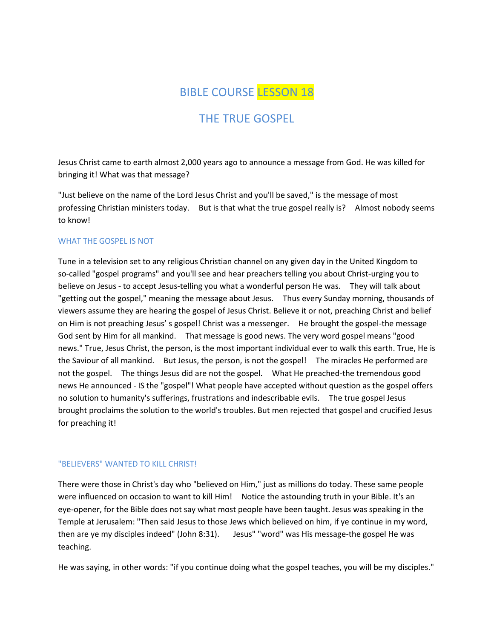# BIBLE COURSE LESSON 18

# THE TRUE GOSPEL

Jesus Christ came to earth almost 2,000 years ago to announce a message from God. He was killed for bringing it! What was that message?

"Just believe on the name of the Lord Jesus Christ and you'll be saved," is the message of most professing Christian ministers today. But is that what the true gospel really is? Almost nobody seems to know!

# WHAT THE GOSPEL IS NOT

Tune in a television set to any religious Christian channel on any given day in the United Kingdom to so-called "gospel programs" and you'll see and hear preachers telling you about Christ-urging you to believe on Jesus - to accept Jesus-telling you what a wonderful person He was. They will talk about "getting out the gospel," meaning the message about Jesus. Thus every Sunday morning, thousands of viewers assume they are hearing the gospel of Jesus Christ. Believe it or not, preaching Christ and belief on Him is not preaching Jesus' s gospel! Christ was a messenger. He brought the gospel-the message God sent by Him for all mankind. That message is good news. The very word gospel means "good news." True, Jesus Christ, the person, is the most important individual ever to walk this earth. True, He is the Saviour of all mankind. But Jesus, the person, is not the gospel! The miracles He performed are not the gospel. The things Jesus did are not the gospel. What He preached-the tremendous good news He announced - IS the "gospel"! What people have accepted without question as the gospel offers no solution to humanity's sufferings, frustrations and indescribable evils. The true gospel Jesus brought proclaims the solution to the world's troubles. But men rejected that gospel and crucified Jesus for preaching it!

### "BELIEVERS" WANTED TO KILL CHRIST!

There were those in Christ's day who "believed on Him," just as millions do today. These same people were influenced on occasion to want to kill Him! Notice the astounding truth in your Bible. It's an eye-opener, for the Bible does not say what most people have been taught. Jesus was speaking in the Temple at Jerusalem: "Then said Jesus to those Jews which believed on him, if ye continue in my word, then are ye my disciples indeed" (John 8:31). Jesus" "word" was His message-the gospel He was teaching.

He was saying, in other words: "if you continue doing what the gospel teaches, you will be my disciples."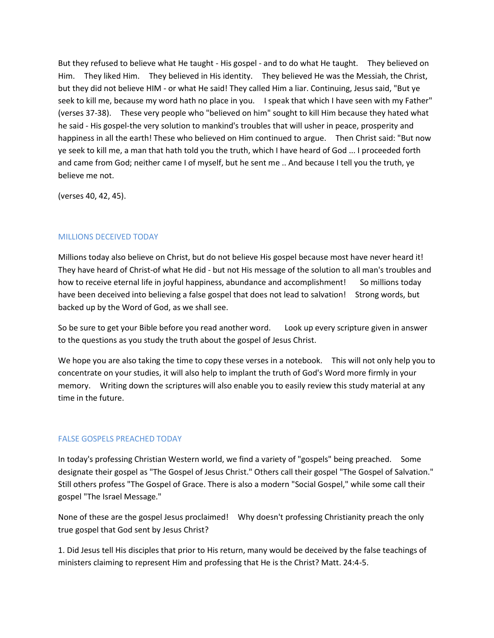But they refused to believe what He taught - His gospel - and to do what He taught. They believed on Him. They liked Him. They believed in His identity. They believed He was the Messiah, the Christ, but they did not believe HIM - or what He said! They called Him a liar. Continuing, Jesus said, "But ye seek to kill me, because my word hath no place in you. I speak that which I have seen with my Father" (verses 37-38). These very people who "believed on him" sought to kill Him because they hated what he said - His gospel-the very solution to mankind's troubles that will usher in peace, prosperity and happiness in all the earth! These who believed on Him continued to argue. Then Christ said: "But now ye seek to kill me, a man that hath told you the truth, which I have heard of God ... I proceeded forth and came from God; neither came I of myself, but he sent me .. And because I tell you the truth, ye believe me not.

(verses 40, 42, 45).

# MILLIONS DECEIVED TODAY

Millions today also believe on Christ, but do not believe His gospel because most have never heard it! They have heard of Christ-of what He did - but not His message of the solution to all man's troubles and how to receive eternal life in joyful happiness, abundance and accomplishment! So millions today have been deceived into believing a false gospel that does not lead to salvation! Strong words, but backed up by the Word of God, as we shall see.

So be sure to get your Bible before you read another word. Look up every scripture given in answer to the questions as you study the truth about the gospel of Jesus Christ.

We hope you are also taking the time to copy these verses in a notebook. This will not only help you to concentrate on your studies, it will also help to implant the truth of God's Word more firmly in your memory. Writing down the scriptures will also enable you to easily review this study material at any time in the future.

# FALSE GOSPELS PREACHED TODAY

In today's professing Christian Western world, we find a variety of "gospels" being preached. Some designate their gospel as "The Gospel of Jesus Christ." Others call their gospel "The Gospel of Salvation." Still others profess "The Gospel of Grace. There is also a modern "Social Gospel," while some call their gospel "The Israel Message."

None of these are the gospel Jesus proclaimed! Why doesn't professing Christianity preach the only true gospel that God sent by Jesus Christ?

1. Did Jesus tell His disciples that prior to His return, many would be deceived by the false teachings of ministers claiming to represent Him and professing that He is the Christ? Matt. 24:4-5.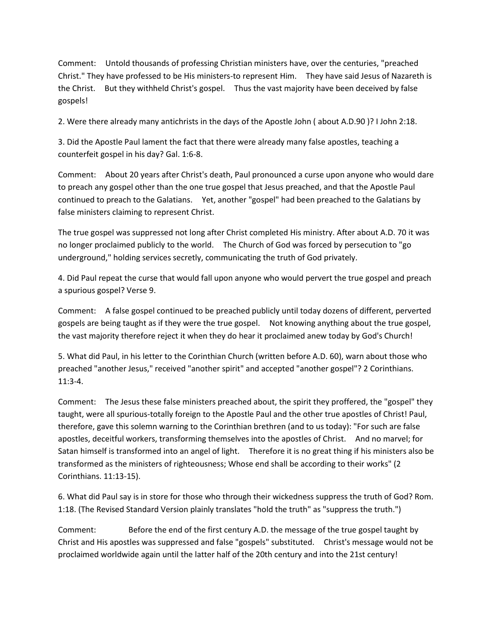Comment: Untold thousands of professing Christian ministers have, over the centuries, "preached Christ." They have professed to be His ministers-to represent Him. They have said Jesus of Nazareth is the Christ. But they withheld Christ's gospel. Thus the vast majority have been deceived by false gospels!

2. Were there already many antichrists in the days of the Apostle John ( about A.D.90 )? I John 2:18.

3. Did the Apostle Paul lament the fact that there were already many false apostles, teaching a counterfeit gospel in his day? Gal. 1:6-8.

Comment: About 20 years after Christ's death, Paul pronounced a curse upon anyone who would dare to preach any gospel other than the one true gospel that Jesus preached, and that the Apostle Paul continued to preach to the Galatians. Yet, another "gospel" had been preached to the Galatians by false ministers claiming to represent Christ.

The true gospel was suppressed not long after Christ completed His ministry. After about A.D. 70 it was no longer proclaimed publicly to the world. The Church of God was forced by persecution to "go underground," holding services secretly, communicating the truth of God privately.

4. Did Paul repeat the curse that would fall upon anyone who would pervert the true gospel and preach a spurious gospel? Verse 9.

Comment: A false gospel continued to be preached publicly until today dozens of different, perverted gospels are being taught as if they were the true gospel. Not knowing anything about the true gospel, the vast majority therefore reject it when they do hear it proclaimed anew today by God's Church!

5. What did Paul, in his letter to the Corinthian Church (written before A.D. 60), warn about those who preached "another Jesus," received "another spirit" and accepted "another gospel"? 2 Corinthians. 11:3-4.

Comment: The Jesus these false ministers preached about, the spirit they proffered, the "gospel" they taught, were all spurious-totally foreign to the Apostle Paul and the other true apostles of Christ! Paul, therefore, gave this solemn warning to the Corinthian brethren (and to us today): "For such are false apostles, deceitful workers, transforming themselves into the apostles of Christ. And no marvel; for Satan himself is transformed into an angel of light. Therefore it is no great thing if his ministers also be transformed as the ministers of righteousness; Whose end shall be according to their works" (2 Corinthians. 11:13-15).

6. What did Paul say is in store for those who through their wickedness suppress the truth of God? Rom. 1:18. (The Revised Standard Version plainly translates "hold the truth" as "suppress the truth.")

Comment: Before the end of the first century A.D. the message of the true gospel taught by Christ and His apostles was suppressed and false "gospels" substituted. Christ's message would not be proclaimed worldwide again until the latter half of the 20th century and into the 21st century!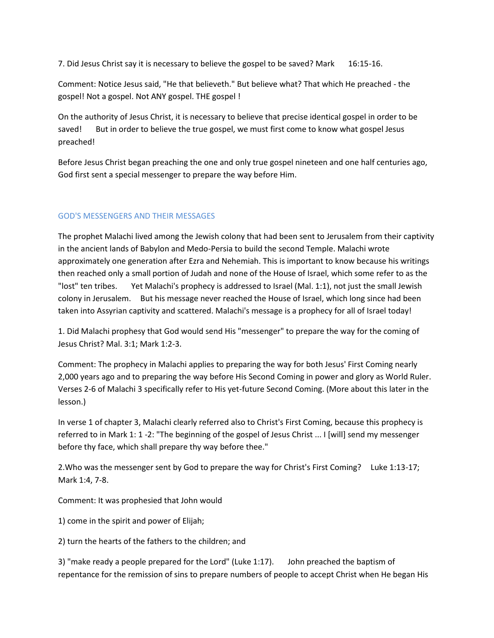7. Did Jesus Christ say it is necessary to believe the gospel to be saved? Mark 16:15-16.

Comment: Notice Jesus said, "He that believeth." But believe what? That which He preached - the gospel! Not a gospel. Not ANY gospel. THE gospel !

On the authority of Jesus Christ, it is necessary to believe that precise identical gospel in order to be saved! But in order to believe the true gospel, we must first come to know what gospel Jesus preached!

Before Jesus Christ began preaching the one and only true gospel nineteen and one half centuries ago, God first sent a special messenger to prepare the way before Him.

# GOD'S MESSENGERS AND THEIR MESSAGES

The prophet Malachi lived among the Jewish colony that had been sent to Jerusalem from their captivity in the ancient lands of Babylon and Medo-Persia to build the second Temple. Malachi wrote approximately one generation after Ezra and Nehemiah. This is important to know because his writings then reached only a small portion of Judah and none of the House of Israel, which some refer to as the "lost" ten tribes. Yet Malachi's prophecy is addressed to Israel (Mal. 1:1), not just the small Jewish colony in Jerusalem. But his message never reached the House of Israel, which long since had been taken into Assyrian captivity and scattered. Malachi's message is a prophecy for all of Israel today!

1. Did Malachi prophesy that God would send His "messenger" to prepare the way for the coming of Jesus Christ? Mal. 3:1; Mark 1:2-3.

Comment: The prophecy in Malachi applies to preparing the way for both Jesus' First Coming nearly 2,000 years ago and to preparing the way before His Second Coming in power and glory as World Ruler. Verses 2-6 of Malachi 3 specifically refer to His yet-future Second Coming. (More about this later in the lesson.)

In verse 1 of chapter 3, Malachi clearly referred also to Christ's First Coming, because this prophecy is referred to in Mark 1: 1 -2: "The beginning of the gospel of Jesus Christ ... I [will] send my messenger before thy face, which shall prepare thy way before thee."

2.Who was the messenger sent by God to prepare the way for Christ's First Coming? Luke 1:13-17; Mark 1:4, 7-8.

Comment: It was prophesied that John would

1) come in the spirit and power of Elijah;

2) turn the hearts of the fathers to the children; and

3) "make ready a people prepared for the Lord" (Luke 1:17). John preached the baptism of repentance for the remission of sins to prepare numbers of people to accept Christ when He began His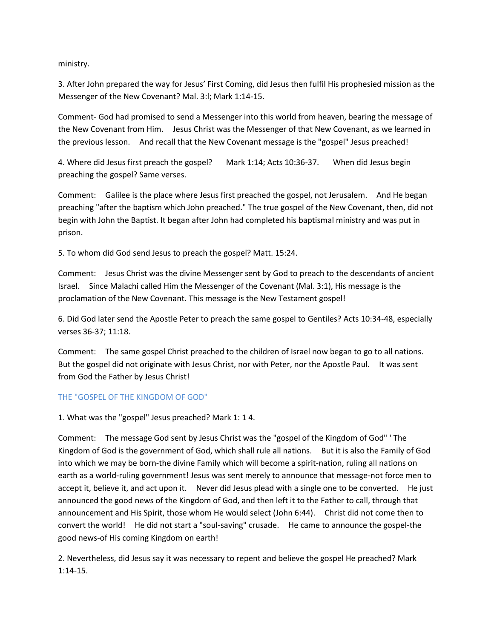ministry.

3. After John prepared the way for Jesus' First Coming, did Jesus then fulfil His prophesied mission as the Messenger of the New Covenant? Mal. 3:l; Mark 1:14-15.

Comment- God had promised to send a Messenger into this world from heaven, bearing the message of the New Covenant from Him. Jesus Christ was the Messenger of that New Covenant, as we learned in the previous lesson. And recall that the New Covenant message is the "gospel" Jesus preached!

4. Where did Jesus first preach the gospel? Mark 1:14; Acts 10:36-37. When did Jesus begin preaching the gospel? Same verses.

Comment: Galilee is the place where Jesus first preached the gospel, not Jerusalem. And He began preaching "after the baptism which John preached." The true gospel of the New Covenant, then, did not begin with John the Baptist. It began after John had completed his baptismal ministry and was put in prison.

5. To whom did God send Jesus to preach the gospel? Matt. 15:24.

Comment: Jesus Christ was the divine Messenger sent by God to preach to the descendants of ancient Israel. Since Malachi called Him the Messenger of the Covenant (Mal. 3:1), His message is the proclamation of the New Covenant. This message is the New Testament gospel!

6. Did God later send the Apostle Peter to preach the same gospel to Gentiles? Acts 10:34-48, especially verses 36-37; 11:18.

Comment: The same gospel Christ preached to the children of Israel now began to go to all nations. But the gospel did not originate with Jesus Christ, nor with Peter, nor the Apostle Paul. It was sent from God the Father by Jesus Christ!

# THE "GOSPEL OF THE KINGDOM OF GOD"

1. What was the "gospel" Jesus preached? Mark 1: 1 4.

Comment: The message God sent by Jesus Christ was the "gospel of the Kingdom of God" ' The Kingdom of God is the government of God, which shall rule all nations. But it is also the Family of God into which we may be born-the divine Family which will become a spirit-nation, ruling all nations on earth as a world-ruling government! Jesus was sent merely to announce that message-not force men to accept it, believe it, and act upon it. Never did Jesus plead with a single one to be converted. He just announced the good news of the Kingdom of God, and then left it to the Father to call, through that announcement and His Spirit, those whom He would select (John 6:44). Christ did not come then to convert the world! He did not start a "soul-saving" crusade. He came to announce the gospel-the good news-of His coming Kingdom on earth!

2. Nevertheless, did Jesus say it was necessary to repent and believe the gospel He preached? Mark 1:14-15.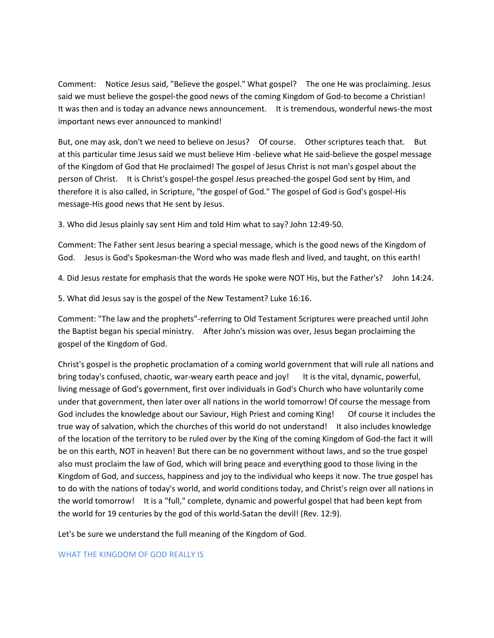Comment: Notice Jesus said, "Believe the gospel." What gospel? The one He was proclaiming. Jesus said we must believe the gospel-the good news of the coming Kingdom of God-to become a Christian! It was then and is today an advance news announcement. It is tremendous, wonderful news-the most important news ever announced to mankind!

But, one may ask, don't we need to believe on Jesus? Of course. Other scriptures teach that. But at this particular time Jesus said we must believe Him -believe what He said-believe the gospel message of the Kingdom of God that He proclaimed! The gospel of Jesus Christ is not man's gospel about the person of Christ. It is Christ's gospel-the gospel Jesus preached-the gospel God sent by Him, and therefore it is also called, in Scripture, "the gospel of God." The gospel of God is God's gospel-His message-His good news that He sent by Jesus.

3. Who did Jesus plainly say sent Him and told Him what to say? John 12:49-50.

Comment: The Father sent Jesus bearing a special message, which is the good news of the Kingdom of God. Jesus is God's Spokesman-the Word who was made flesh and lived, and taught, on this earth!

4. Did Jesus restate for emphasis that the words He spoke were NOT His, but the Father's? John 14:24.

5. What did Jesus say is the gospel of the New Testament? Luke 16:16.

Comment: "The law and the prophets"-referring to Old Testament Scriptures were preached until John the Baptist began his special ministry. After John's mission was over, Jesus began proclaiming the gospel of the Kingdom of God.

Christ's gospel is the prophetic proclamation of a coming world government that will rule all nations and bring today's confused, chaotic, war-weary earth peace and joy! It is the vital, dynamic, powerful, living message of God's government, first over individuals in God's Church who have voluntarily come under that government, then later over all nations in the world tomorrow! Of course the message from God includes the knowledge about our Saviour, High Priest and coming King! Of course it includes the true way of salvation, which the churches of this world do not understand! It also includes knowledge of the location of the territory to be ruled over by the King of the coming Kingdom of God-the fact it will be on this earth, NOT in heaven! But there can be no government without laws, and so the true gospel also must proclaim the law of God, which will bring peace and everything good to those living in the Kingdom of God, and success, happiness and joy to the individual who keeps it now. The true gospel has to do with the nations of today's world, and world conditions today, and Christ's reign over all nations in the world tomorrow! It is a "full," complete, dynamic and powerful gospel that had been kept from the world for 19 centuries by the god of this world-Satan the devil! (Rev. 12:9).

Let's be sure we understand the full meaning of the Kingdom of God.

#### WHAT THE KINGDOM OF GOD REALLY IS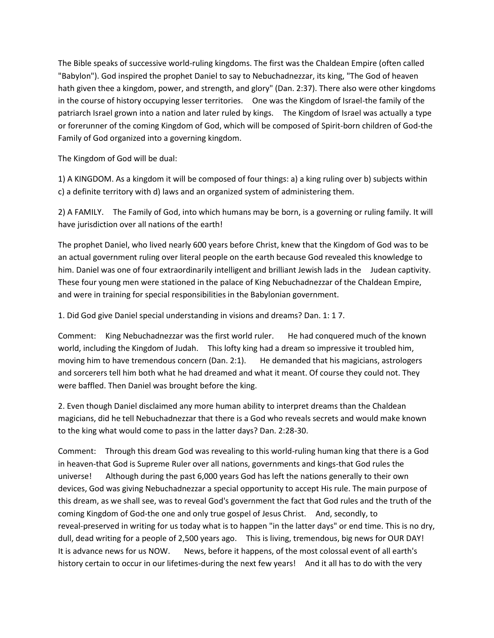The Bible speaks of successive world-ruling kingdoms. The first was the Chaldean Empire (often called "Babylon"). God inspired the prophet Daniel to say to Nebuchadnezzar, its king, "The God of heaven hath given thee a kingdom, power, and strength, and glory" (Dan. 2:37). There also were other kingdoms in the course of history occupying lesser territories. One was the Kingdom of Israel-the family of the patriarch Israel grown into a nation and later ruled by kings. The Kingdom of Israel was actually a type or forerunner of the coming Kingdom of God, which will be composed of Spirit-born children of God-the Family of God organized into a governing kingdom.

The Kingdom of God will be dual:

1) A KINGDOM. As a kingdom it will be composed of four things: a) a king ruling over b) subjects within c) a definite territory with d) laws and an organized system of administering them.

2) A FAMILY. The Family of God, into which humans may be born, is a governing or ruling family. It will have jurisdiction over all nations of the earth!

The prophet Daniel, who lived nearly 600 years before Christ, knew that the Kingdom of God was to be an actual government ruling over literal people on the earth because God revealed this knowledge to him. Daniel was one of four extraordinarily intelligent and brilliant Jewish lads in the Judean captivity. These four young men were stationed in the palace of King Nebuchadnezzar of the Chaldean Empire, and were in training for special responsibilities in the Babylonian government.

1. Did God give Daniel special understanding in visions and dreams? Dan. 1: 1 7.

Comment: King Nebuchadnezzar was the first world ruler. He had conquered much of the known world, including the Kingdom of Judah. This lofty king had a dream so impressive it troubled him, moving him to have tremendous concern (Dan. 2:1). He demanded that his magicians, astrologers and sorcerers tell him both what he had dreamed and what it meant. Of course they could not. They were baffled. Then Daniel was brought before the king.

2. Even though Daniel disclaimed any more human ability to interpret dreams than the Chaldean magicians, did he tell Nebuchadnezzar that there is a God who reveals secrets and would make known to the king what would come to pass in the latter days? Dan. 2:28-30.

Comment: Through this dream God was revealing to this world-ruling human king that there is a God in heaven-that God is Supreme Ruler over all nations, governments and kings-that God rules the universe! Although during the past 6,000 years God has left the nations generally to their own devices, God was giving Nebuchadnezzar a special opportunity to accept His rule. The main purpose of this dream, as we shall see, was to reveal God's government the fact that God rules and the truth of the coming Kingdom of God-the one and only true gospel of Jesus Christ. And, secondly, to reveal-preserved in writing for us today what is to happen "in the latter days" or end time. This is no dry, dull, dead writing for a people of 2,500 years ago. This is living, tremendous, big news for OUR DAY! It is advance news for us NOW. News, before it happens, of the most colossal event of all earth's history certain to occur in our lifetimes-during the next few years! And it all has to do with the very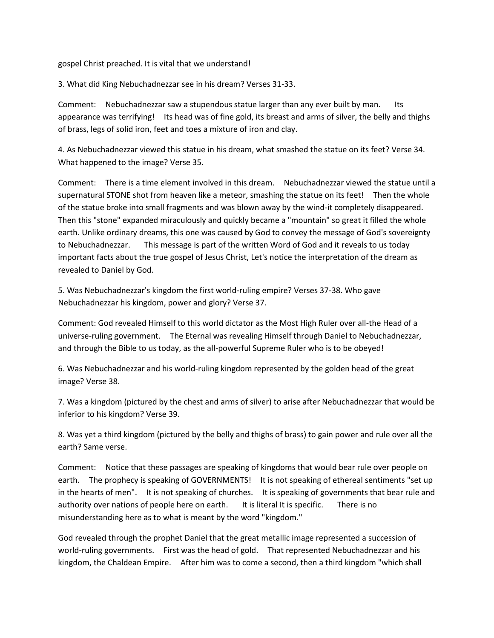gospel Christ preached. It is vital that we understand!

3. What did King Nebuchadnezzar see in his dream? Verses 31-33.

Comment: Nebuchadnezzar saw a stupendous statue larger than any ever built by man. Its appearance was terrifying! Its head was of fine gold, its breast and arms of silver, the belly and thighs of brass, legs of solid iron, feet and toes a mixture of iron and clay.

4. As Nebuchadnezzar viewed this statue in his dream, what smashed the statue on its feet? Verse 34. What happened to the image? Verse 35.

Comment: There is a time element involved in this dream. Nebuchadnezzar viewed the statue until a supernatural STONE shot from heaven like a meteor, smashing the statue on its feet! Then the whole of the statue broke into small fragments and was blown away by the wind-it completely disappeared. Then this "stone" expanded miraculously and quickly became a "mountain" so great it filled the whole earth. Unlike ordinary dreams, this one was caused by God to convey the message of God's sovereignty to Nebuchadnezzar. This message is part of the written Word of God and it reveals to us today important facts about the true gospel of Jesus Christ, Let's notice the interpretation of the dream as revealed to Daniel by God.

5. Was Nebuchadnezzar's kingdom the first world-ruling empire? Verses 37-38. Who gave Nebuchadnezzar his kingdom, power and glory? Verse 37.

Comment: God revealed Himself to this world dictator as the Most High Ruler over all-the Head of a universe-ruling government. The Eternal was revealing Himself through Daniel to Nebuchadnezzar, and through the Bible to us today, as the all-powerful Supreme Ruler who is to be obeyed!

6. Was Nebuchadnezzar and his world-ruling kingdom represented by the golden head of the great image? Verse 38.

7. Was a kingdom (pictured by the chest and arms of silver) to arise after Nebuchadnezzar that would be inferior to his kingdom? Verse 39.

8. Was yet a third kingdom (pictured by the belly and thighs of brass) to gain power and rule over all the earth? Same verse.

Comment: Notice that these passages are speaking of kingdoms that would bear rule over people on earth. The prophecy is speaking of GOVERNMENTS! It is not speaking of ethereal sentiments "set up in the hearts of men". It is not speaking of churches. It is speaking of governments that bear rule and authority over nations of people here on earth. It is literal It is specific. There is no misunderstanding here as to what is meant by the word "kingdom."

God revealed through the prophet Daniel that the great metallic image represented a succession of world-ruling governments. First was the head of gold. That represented Nebuchadnezzar and his kingdom, the Chaldean Empire. After him was to come a second, then a third kingdom "which shall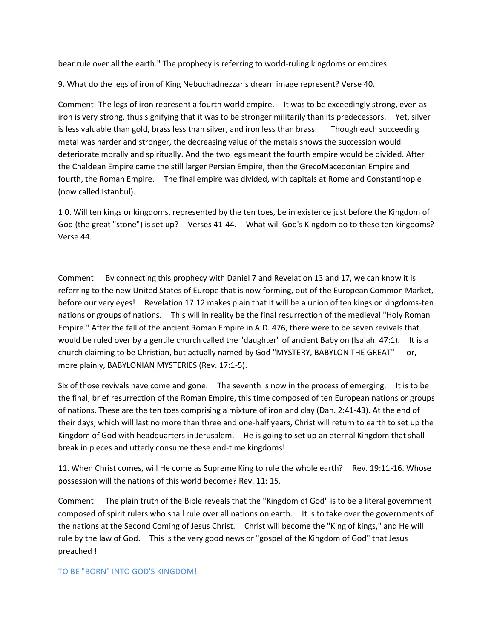bear rule over all the earth." The prophecy is referring to world-ruling kingdoms or empires.

9. What do the legs of iron of King Nebuchadnezzar's dream image represent? Verse 40.

Comment: The legs of iron represent a fourth world empire. It was to be exceedingly strong, even as iron is very strong, thus signifying that it was to be stronger militarily than its predecessors. Yet, silver is less valuable than gold, brass less than silver, and iron less than brass. Though each succeeding metal was harder and stronger, the decreasing value of the metals shows the succession would deteriorate morally and spiritually. And the two legs meant the fourth empire would be divided. After the Chaldean Empire came the still larger Persian Empire, then the GrecoMacedonian Empire and fourth, the Roman Empire. The final empire was divided, with capitals at Rome and Constantinople (now called Istanbul).

1 0. Will ten kings or kingdoms, represented by the ten toes, be in existence just before the Kingdom of God (the great "stone") is set up? Verses 41-44. What will God's Kingdom do to these ten kingdoms? Verse 44.

Comment: By connecting this prophecy with Daniel 7 and Revelation 13 and 17, we can know it is referring to the new United States of Europe that is now forming, out of the European Common Market, before our very eyes! Revelation 17:12 makes plain that it will be a union of ten kings or kingdoms-ten nations or groups of nations. This will in reality be the final resurrection of the medieval "Holy Roman Empire." After the fall of the ancient Roman Empire in A.D. 476, there were to be seven revivals that would be ruled over by a gentile church called the "daughter" of ancient Babylon (Isaiah. 47:1). It is a church claiming to be Christian, but actually named by God "MYSTERY, BABYLON THE GREAT" -or, more plainly, BABYLONIAN MYSTERIES (Rev. 17:1-5).

Six of those revivals have come and gone. The seventh is now in the process of emerging. It is to be the final, brief resurrection of the Roman Empire, this time composed of ten European nations or groups of nations. These are the ten toes comprising a mixture of iron and clay (Dan. 2:41-43). At the end of their days, which will last no more than three and one-half years, Christ will return to earth to set up the Kingdom of God with headquarters in Jerusalem. He is going to set up an eternal Kingdom that shall break in pieces and utterly consume these end-time kingdoms!

11. When Christ comes, will He come as Supreme King to rule the whole earth? Rev. 19:11-16. Whose possession will the nations of this world become? Rev. 11: 15.

Comment: The plain truth of the Bible reveals that the "Kingdom of God" is to be a literal government composed of spirit rulers who shall rule over all nations on earth. It is to take over the governments of the nations at the Second Coming of Jesus Christ. Christ will become the "King of kings," and He will rule by the law of God. This is the very good news or "gospel of the Kingdom of God" that Jesus preached !

#### TO BE "BORN" INTO GOD'S KINGDOM!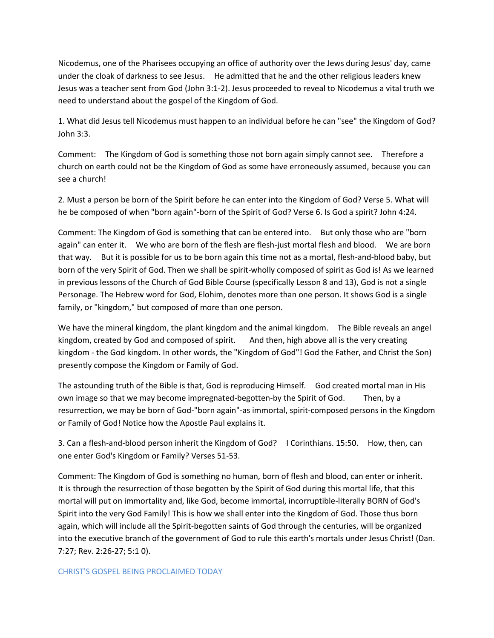Nicodemus, one of the Pharisees occupying an office of authority over the Jews during Jesus' day, came under the cloak of darkness to see Jesus. He admitted that he and the other religious leaders knew Jesus was a teacher sent from God (John 3:1-2). Jesus proceeded to reveal to Nicodemus a vital truth we need to understand about the gospel of the Kingdom of God.

1. What did Jesus tell Nicodemus must happen to an individual before he can "see" the Kingdom of God? John 3:3.

Comment: The Kingdom of God is something those not born again simply cannot see. Therefore a church on earth could not be the Kingdom of God as some have erroneously assumed, because you can see a church!

2. Must a person be born of the Spirit before he can enter into the Kingdom of God? Verse 5. What will he be composed of when "born again"-born of the Spirit of God? Verse 6. Is God a spirit? John 4:24.

Comment: The Kingdom of God is something that can be entered into. But only those who are "born again" can enter it. We who are born of the flesh are flesh-just mortal flesh and blood. We are born that way. But it is possible for us to be born again this time not as a mortal, flesh-and-blood baby, but born of the very Spirit of God. Then we shall be spirit-wholly composed of spirit as God is! As we learned in previous lessons of the Church of God Bible Course (specifically Lesson 8 and 13), God is not a single Personage. The Hebrew word for God, Elohim, denotes more than one person. It shows God is a single family, or "kingdom," but composed of more than one person.

We have the mineral kingdom, the plant kingdom and the animal kingdom. The Bible reveals an angel kingdom, created by God and composed of spirit. And then, high above all is the very creating kingdom - the God kingdom. In other words, the "Kingdom of God"! God the Father, and Christ the Son) presently compose the Kingdom or Family of God.

The astounding truth of the Bible is that, God is reproducing Himself. God created mortal man in His own image so that we may become impregnated-begotten-by the Spirit of God. Then, by a resurrection, we may be born of God-"born again"-as immortal, spirit-composed persons in the Kingdom or Family of God! Notice how the Apostle Paul explains it.

3. Can a flesh-and-blood person inherit the Kingdom of God? I Corinthians. 15:50. How, then, can one enter God's Kingdom or Family? Verses 51-53.

Comment: The Kingdom of God is something no human, born of flesh and blood, can enter or inherit. It is through the resurrection of those begotten by the Spirit of God during this mortal life, that this mortal will put on immortality and, like God, become immortal, incorruptible-literally BORN of God's Spirit into the very God Family! This is how we shall enter into the Kingdom of God. Those thus born again, which will include all the Spirit-begotten saints of God through the centuries, will be organized into the executive branch of the government of God to rule this earth's mortals under Jesus Christ! (Dan. 7:27; Rev. 2:26-27; 5:1 0).

# CHRIST'S GOSPEL BEING PROCLAIMED TODAY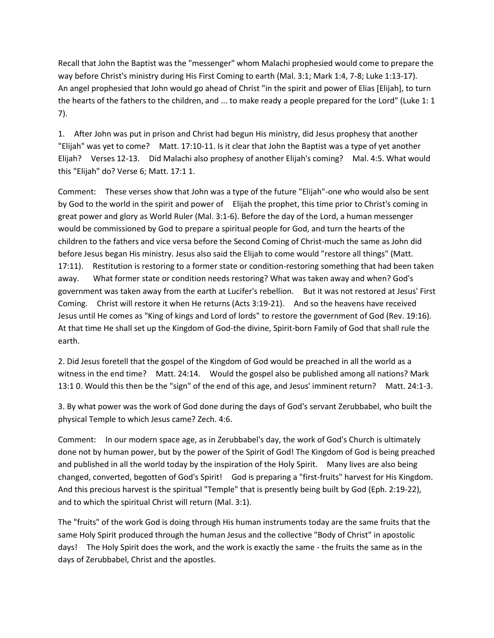Recall that John the Baptist was the "messenger" whom Malachi prophesied would come to prepare the way before Christ's ministry during His First Coming to earth (Mal. 3:1; Mark 1:4, 7-8; Luke 1:13-17). An angel prophesied that John would go ahead of Christ "in the spirit and power of Elias [Elijah], to turn the hearts of the fathers to the children, and ... to make ready a people prepared for the Lord" (Luke 1: 1 7).

1. After John was put in prison and Christ had begun His ministry, did Jesus prophesy that another "Elijah" was yet to come? Matt. 17:10-11. Is it clear that John the Baptist was a type of yet another Elijah? Verses 12-13. Did Malachi also prophesy of another Elijah's coming? Mal. 4:5. What would this "Elijah" do? Verse 6; Matt. 17:1 1.

Comment: These verses show that John was a type of the future "Elijah"-one who would also be sent by God to the world in the spirit and power of Elijah the prophet, this time prior to Christ's coming in great power and glory as World Ruler (Mal. 3:1-6). Before the day of the Lord, a human messenger would be commissioned by God to prepare a spiritual people for God, and turn the hearts of the children to the fathers and vice versa before the Second Coming of Christ-much the same as John did before Jesus began His ministry. Jesus also said the Elijah to come would "restore all things" (Matt. 17:11). Restitution is restoring to a former state or condition-restoring something that had been taken away. What former state or condition needs restoring? What was taken away and when? God's government was taken away from the earth at Lucifer's rebellion. But it was not restored at Jesus' First Coming. Christ will restore it when He returns (Acts 3:19-21). And so the heavens have received Jesus until He comes as "King of kings and Lord of lords" to restore the government of God (Rev. 19:16). At that time He shall set up the Kingdom of God-the divine, Spirit-born Family of God that shall rule the earth.

2. Did Jesus foretell that the gospel of the Kingdom of God would be preached in all the world as a witness in the end time? Matt. 24:14. Would the gospel also be published among all nations? Mark 13:1 0. Would this then be the "sign" of the end of this age, and Jesus' imminent return? Matt. 24:1-3.

3. By what power was the work of God done during the days of God's servant Zerubbabel, who built the physical Temple to which Jesus came? Zech. 4:6.

Comment: In our modern space age, as in Zerubbabel's day, the work of God's Church is ultimately done not by human power, but by the power of the Spirit of God! The Kingdom of God is being preached and published in all the world today by the inspiration of the Holy Spirit. Many lives are also being changed, converted, begotten of God's Spirit! God is preparing a "first-fruits" harvest for His Kingdom. And this precious harvest is the spiritual "Temple" that is presently being built by God (Eph. 2:19-22), and to which the spiritual Christ will return (Mal. 3:1).

The "fruits" of the work God is doing through His human instruments today are the same fruits that the same Holy Spirit produced through the human Jesus and the collective "Body of Christ" in apostolic days! The Holy Spirit does the work, and the work is exactly the same - the fruits the same as in the days of Zerubbabel, Christ and the apostles.